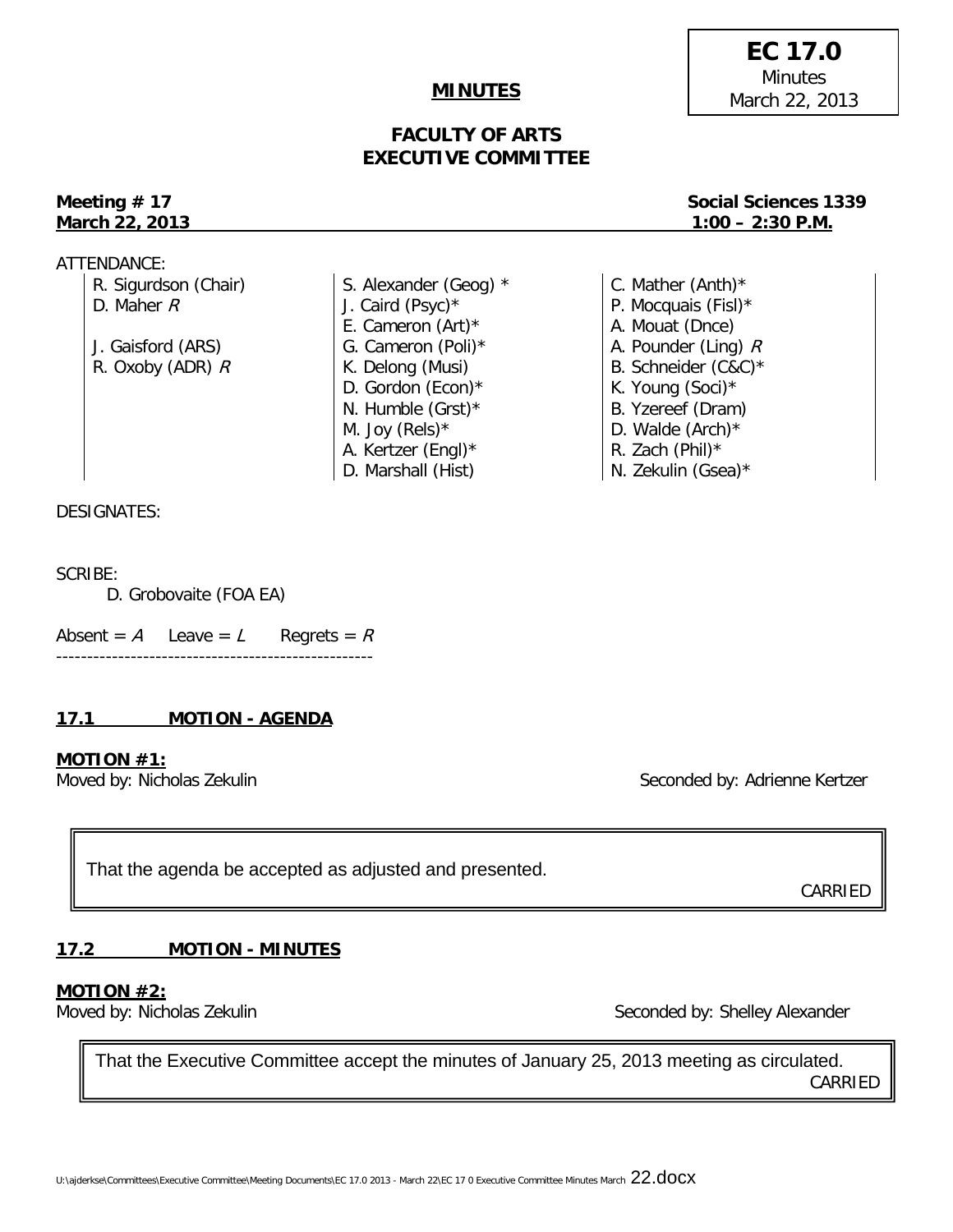# U:\ajderkse\Committees\Executive Committee\Meeting Documents\EC 17.0 2013 - March 22\EC 17 0 Executive Committee Minutes March 22.docx

#### **MINUTES**

### **FACULTY OF ARTS EXECUTIVE COMMITTEE**

# Meeting  $# 17$ **March 22, 2013**

ATTENDANCE:

| R. Sigurdson (Chair) | S. Alexander (Geog) * | C. Mather $(Anth)^*$  |
|----------------------|-----------------------|-----------------------|
| D. Maher $R$         | J. Caird (Psyc)*      | P. Mocquais (Fisl)*   |
|                      | E. Cameron $(Art)^*$  | A. Mouat (Dnce)       |
| J. Gaisford (ARS)    | G. Cameron (Poli)*    | A. Pounder (Ling) $R$ |
| R. Oxoby (ADR) $R$   | K. Delong (Musi)      | B. Schneider (C&C)*   |
|                      | D. Gordon (Econ) $*$  | K. Young (Soci)*      |
|                      | N. Humble $(Grst)^*$  | B. Yzereef (Dram)     |
|                      | M. Joy (Rels) $*$     | D. Walde $(Arch)^*$   |
|                      | A. Kertzer (Engl)*    | R. Zach (Phil) $*$    |
|                      | D. Marshall (Hist)    | N. Zekulin (Gsea)*    |

#### DESIGNATES:

#### SCRIBE:

D. Grobovaite (FOA EA)

Absent =  $A$  Leave =  $L$  Regrets =  $R$ ---------------------------------------------------

#### **17.1 MOTION - AGENDA**

#### **MOTION #1:**

Moved by: Nicholas Zekulin Seconded by: Adrienne Kertzer

That the agenda be accepted as adjusted and presented.

### **17.2 MOTION - MINUTES**

#### **MOTION #2:**

Moved by: Nicholas Zekulin Seconded by: Shelley Alexander

That the Executive Committee accept the minutes of January 25, 2013 meeting as circulated. CARRIED

**EC 17.0 Minutes** March 22, 2013

| Social Sciences 1339 |
|----------------------|
| $1:00 - 2:30$ P.M.   |

CARRIED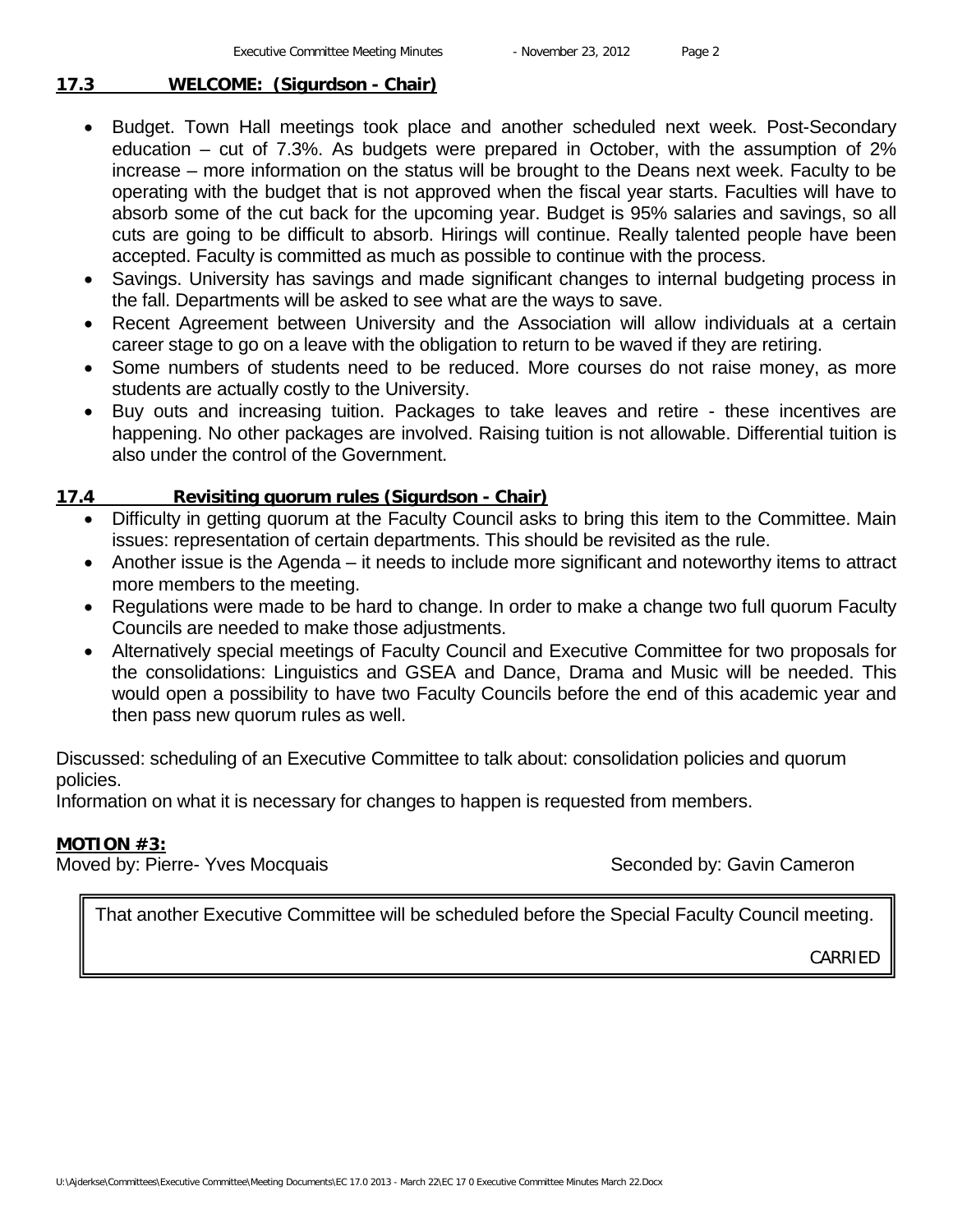#### **17.3 WELCOME: (Sigurdson - Chair)**

- Budget. Town Hall meetings took place and another scheduled next week. Post-Secondary education – cut of 7.3%. As budgets were prepared in October, with the assumption of 2% increase – more information on the status will be brought to the Deans next week. Faculty to be operating with the budget that is not approved when the fiscal year starts. Faculties will have to absorb some of the cut back for the upcoming year. Budget is 95% salaries and savings, so all cuts are going to be difficult to absorb. Hirings will continue. Really talented people have been accepted. Faculty is committed as much as possible to continue with the process.
- Savings. University has savings and made significant changes to internal budgeting process in the fall. Departments will be asked to see what are the ways to save.
- Recent Agreement between University and the Association will allow individuals at a certain career stage to go on a leave with the obligation to return to be waved if they are retiring.
- Some numbers of students need to be reduced. More courses do not raise money, as more students are actually costly to the University.
- Buy outs and increasing tuition. Packages to take leaves and retire these incentives are happening. No other packages are involved. Raising tuition is not allowable. Differential tuition is also under the control of the Government.

#### **17.4 Revisiting quorum rules (Sigurdson - Chair)**

- Difficulty in getting quorum at the Faculty Council asks to bring this item to the Committee. Main issues: representation of certain departments. This should be revisited as the rule.
- Another issue is the Agenda it needs to include more significant and noteworthy items to attract more members to the meeting.
- Regulations were made to be hard to change. In order to make a change two full quorum Faculty Councils are needed to make those adjustments.
- Alternatively special meetings of Faculty Council and Executive Committee for two proposals for the consolidations: Linguistics and GSEA and Dance, Drama and Music will be needed. This would open a possibility to have two Faculty Councils before the end of this academic year and then pass new quorum rules as well.

Discussed: scheduling of an Executive Committee to talk about: consolidation policies and quorum policies.

Information on what it is necessary for changes to happen is requested from members.

#### **MOTION #3:**

Moved by: Pierre- Yves Mocquais Seconded by: Gavin Cameron

That another Executive Committee will be scheduled before the Special Faculty Council meeting.

CARRIED